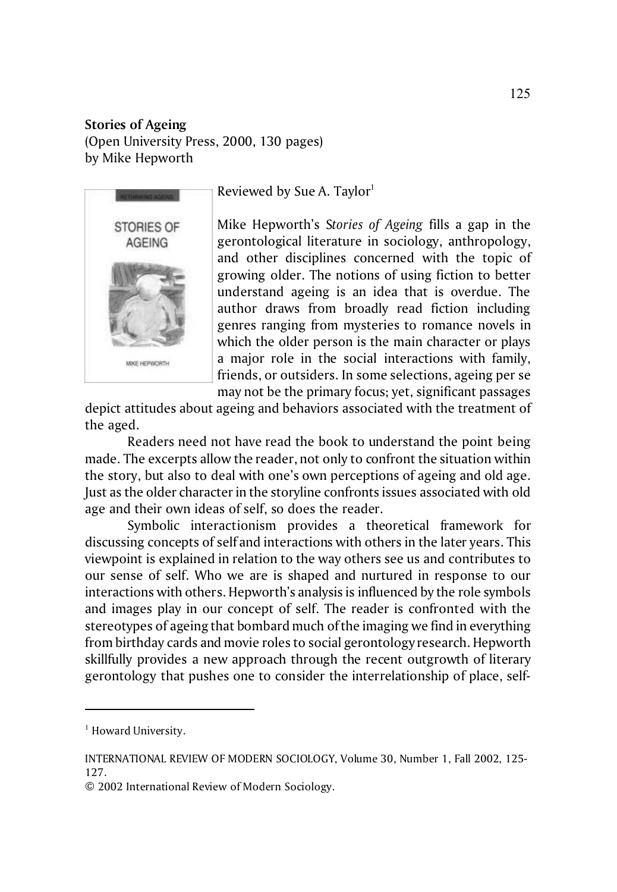## **Stories of Ageing**  (Open University Press, 2000, 130 pages) by Mike Hepworth



Reviewed by Sue A. Taylor $1$ 

Mike Hepworth's S*tories of Ageing* fills a gap in the gerontological literature in sociology, anthropology, and other disciplines concerned with the topic of growing older. The notions of using fiction to better understand ageing is an idea that is overdue. The author draws from broadly read fiction including genres ranging from mysteries to romance novels in which the older person is the main character or plays a major role in the social interactions with family, friends, or outsiders. In some selections, ageing per se may not be the primary focus; yet, significant passages

depict attitudes about ageing and behaviors associated with the treatment of the aged.

Readers need not have read the book to understand the point being made. The excerpts allow the reader, not only to confront the situation within the story, but also to deal with one's own perceptions of ageing and old age. Just as the older character in the storyline confronts issues associated with old age and their own ideas of self, so does the reader.

Symbolic interactionism provides a theoretical framework for discussing concepts of self and interactions with others in the later years. This viewpoint is explained in relation to the way others see us and contributes to our sense of self. Who we are is shaped and nurtured in response to our interactions with others. Hepworth's analysis is influenced by the role symbols and images play in our concept of self. The reader is confronted with the stereotypes of ageing that bombard much of the imaging we find in everything from birthday cards and movie roles to social gerontology research. Hepworth skillfully provides a new approach through the recent outgrowth of literary gerontology that pushes one to consider the interrelationship of place, self-

<sup>&</sup>lt;sup>1</sup> Howard University.

INTERNATIONAL REVIEW OF MODERN SOCIOLOGY, Volume 30, Number 1, Fall 2002, 125- 127.

<sup>© 2002</sup> International Review of Modern Sociology.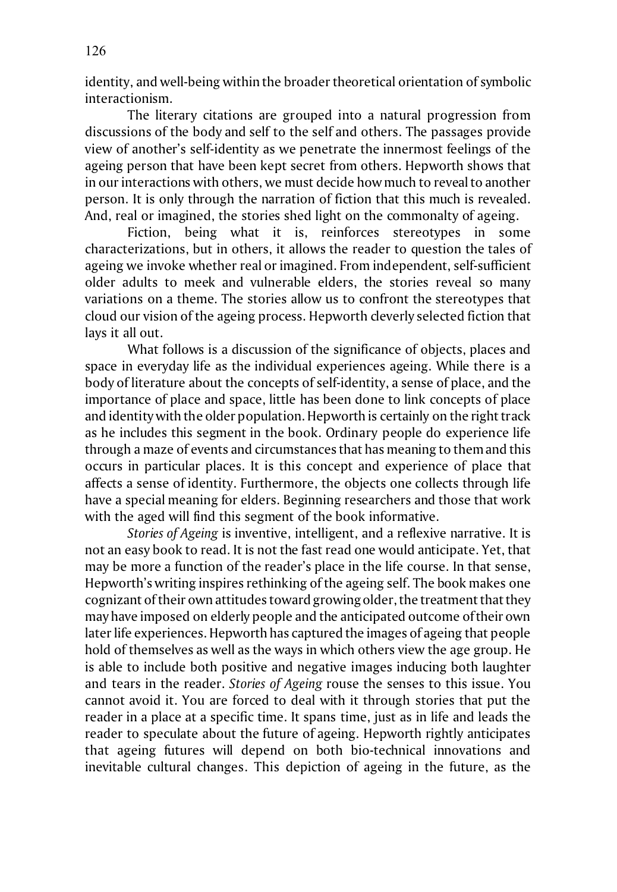identity, and well-being within the broader theoretical orientation of symbolic interactionism.

The literary citations are grouped into a natural progression from discussions of the body and self to the self and others. The passages provide view of another's self-identity as we penetrate the innermost feelings of the ageing person that have been kept secret from others. Hepworth shows that in our interactions with others, we must decide how much to reveal to another person. It is only through the narration of fiction that this much is revealed. And, real or imagined, the stories shed light on the commonalty of ageing.

Fiction, being what it is, reinforces stereotypes in some characterizations, but in others, it allows the reader to question the tales of ageing we invoke whether real or imagined. From independent, self-sufficient older adults to meek and vulnerable elders, the stories reveal so many variations on a theme. The stories allow us to confront the stereotypes that cloud our vision of the ageing process. Hepworth cleverly selected fiction that lays it all out.

What follows is a discussion of the significance of objects, places and space in everyday life as the individual experiences ageing. While there is a body of literature about the concepts of self-identity, a sense of place, and the importance of place and space, little has been done to link concepts of place and identity with the older population. Hepworth is certainly on the right track as he includes this segment in the book. Ordinary people do experience life through a maze of events and circumstances that has meaning to them and this occurs in particular places. It is this concept and experience of place that affects a sense of identity. Furthermore, the objects one collects through life have a special meaning for elders. Beginning researchers and those that work with the aged will find this segment of the book informative.

*Stories of Ageing* is inventive, intelligent, and a reflexive narrative. It is not an easy book to read. It is not the fast read one would anticipate. Yet, that may be more a function of the reader's place in the life course. In that sense, Hepworth's writing inspires rethinking of the ageing self. The book makes one cognizant of their own attitudes toward growing older, the treatment that they may have imposed on elderly people and the anticipated outcome of their own later life experiences. Hepworth has captured the images of ageing that people hold of themselves as well as the ways in which others view the age group. He is able to include both positive and negative images inducing both laughter and tears in the reader. *Stories of Ageing* rouse the senses to this issue. You cannot avoid it. You are forced to deal with it through stories that put the reader in a place at a specific time. It spans time, just as in life and leads the reader to speculate about the future of ageing. Hepworth rightly anticipates that ageing futures will depend on both bio-technical innovations and inevitable cultural changes. This depiction of ageing in the future, as the